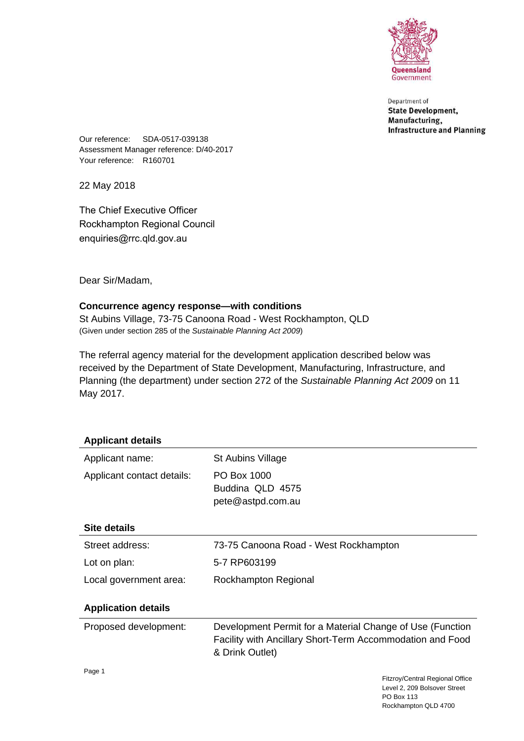

Department of **State Development,** Manufacturing, **Infrastructure and Planning** 

Our reference: SDA-0517-039138 Assessment Manager reference: D/40-2017 Your reference: R160701

22 May 2018

The Chief Executive Officer Rockhampton Regional Council enquiries@rrc.qld.gov.au

Dear Sir/Madam,

# **Concurrence agency response—with conditions**

St Aubins Village, 73-75 Canoona Road - West Rockhampton, QLD (Given under section 285 of the *Sustainable Planning Act 2009*)

The referral agency material for the development application described below was received by the Department of State Development, Manufacturing, Infrastructure, and Planning (the department) under section 272 of the *Sustainable Planning Act 2009* on 11 May 2017.

| <b>Applicant details</b>   |                                                                                                                                           |
|----------------------------|-------------------------------------------------------------------------------------------------------------------------------------------|
| Applicant name:            | St Aubins Village                                                                                                                         |
| Applicant contact details: | PO Box 1000<br>Buddina QLD 4575<br>pete@astpd.com.au                                                                                      |
| Site details               |                                                                                                                                           |
| Street address:            | 73-75 Canoona Road - West Rockhampton                                                                                                     |
| Lot on plan:               | 5-7 RP603199                                                                                                                              |
| Local government area:     | Rockhampton Regional                                                                                                                      |
| <b>Application details</b> |                                                                                                                                           |
| Proposed development:      | Development Permit for a Material Change of Use (Function<br>Facility with Ancillary Short-Term Accommodation and Food<br>& Drink Outlet) |
| Page 1                     | Fitzroy/Central Regional Office<br>Lough 2, 200 Poleouar Ctroot                                                                           |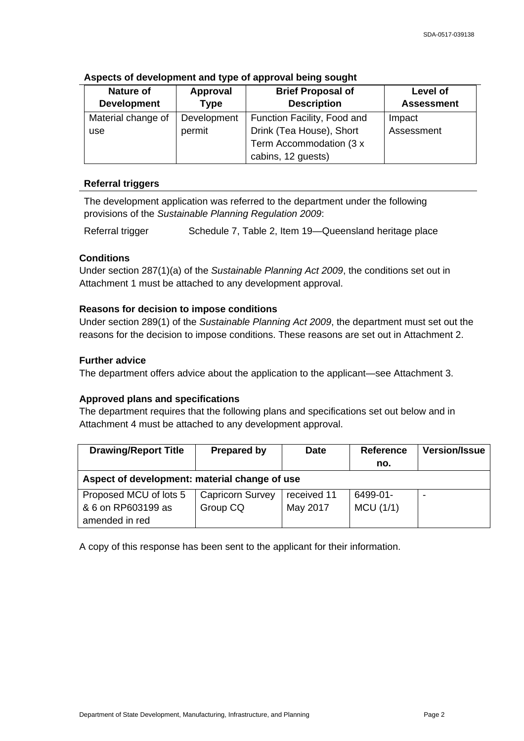| Nature of          | <b>Approval</b> | <b>Brief Proposal of</b>    | Level of          |
|--------------------|-----------------|-----------------------------|-------------------|
| <b>Development</b> | <b>Type</b>     | <b>Description</b>          | <b>Assessment</b> |
| Material change of | Development     | Function Facility, Food and | Impact            |
| use                | permit          | Drink (Tea House), Short    | Assessment        |
|                    |                 | Term Accommodation (3 x     |                   |
|                    |                 | cabins, 12 guests)          |                   |

# **Aspects of development and type of approval being sought**

# **Referral triggers**

The development application was referred to the department under the following provisions of the *Sustainable Planning Regulation 2009*:

Referral trigger Schedule 7, Table 2, Item 19-Queensland heritage place

# **Conditions**

Under section 287(1)(a) of the *Sustainable Planning Act 2009*, the conditions set out in Attachment 1 must be attached to any development approval.

## **Reasons for decision to impose conditions**

Under section 289(1) of the *Sustainable Planning Act 2009*, the department must set out the reasons for the decision to impose conditions. These reasons are set out in Attachment 2.

## **Further advice**

The department offers advice about the application to the applicant—see Attachment 3.

#### **Approved plans and specifications**

The department requires that the following plans and specifications set out below and in Attachment 4 must be attached to any development approval.

| <b>Drawing/Report Title</b>                   | <b>Prepared by</b>      | Date        | <b>Reference</b> | <b>Version/Issue</b> |
|-----------------------------------------------|-------------------------|-------------|------------------|----------------------|
|                                               |                         |             | no.              |                      |
| Aspect of development: material change of use |                         |             |                  |                      |
| Proposed MCU of lots 5                        | <b>Capricorn Survey</b> | received 11 | 6499-01-         |                      |
| & 6 on RP603199 as                            | Group CQ                | May 2017    | MCU(1/1)         |                      |
| amended in red                                |                         |             |                  |                      |

A copy of this response has been sent to the applicant for their information.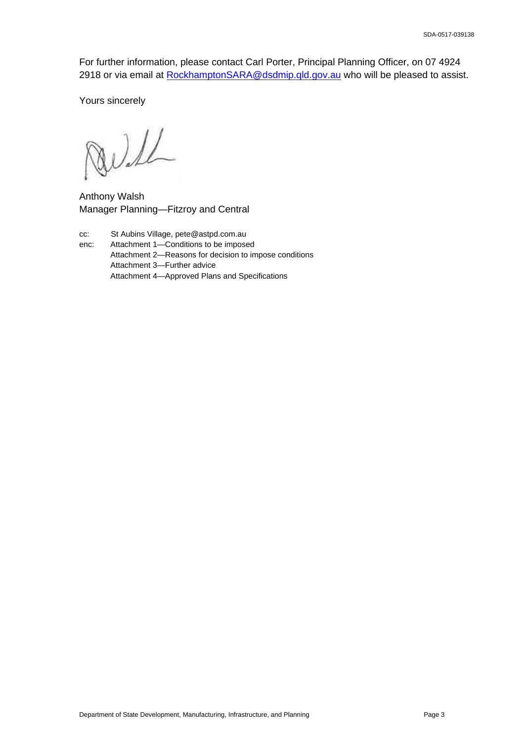For further information, please contact Carl Porter, Principal Planning Officer, on 07 4924 2918 or via email at [RockhamptonSARA@dsdmip.qld.gov.au](mailto://RockhamptonSARA@dsdmip.qld.gov.au) who will be pleased to assist.

Yours sincerely

Will

Anthony Walsh Manager Planning—Fitzroy and Central

cc: St Aubins Village, pete@astpd.com.au

enc: Attachment 1—Conditions to be imposed Attachment 2—Reasons for decision to impose conditions Attachment 3—Further advice Attachment 4—Approved Plans and Specifications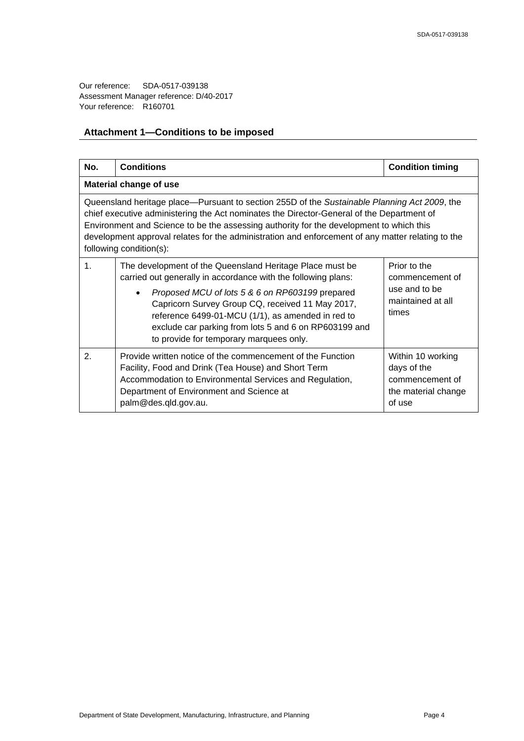# **Attachment 1—Conditions to be imposed**

| No.                                                                                                                                                                                                                                                                                                                                                                                                                  | <b>Conditions</b>                                                                                                                                                                                                                                                                                                                                                                         | <b>Condition timing</b>                                                              |  |  |  |
|----------------------------------------------------------------------------------------------------------------------------------------------------------------------------------------------------------------------------------------------------------------------------------------------------------------------------------------------------------------------------------------------------------------------|-------------------------------------------------------------------------------------------------------------------------------------------------------------------------------------------------------------------------------------------------------------------------------------------------------------------------------------------------------------------------------------------|--------------------------------------------------------------------------------------|--|--|--|
| <b>Material change of use</b>                                                                                                                                                                                                                                                                                                                                                                                        |                                                                                                                                                                                                                                                                                                                                                                                           |                                                                                      |  |  |  |
| Queensland heritage place—Pursuant to section 255D of the Sustainable Planning Act 2009, the<br>chief executive administering the Act nominates the Director-General of the Department of<br>Environment and Science to be the assessing authority for the development to which this<br>development approval relates for the administration and enforcement of any matter relating to the<br>following condition(s): |                                                                                                                                                                                                                                                                                                                                                                                           |                                                                                      |  |  |  |
| $\mathbf{1}$ .                                                                                                                                                                                                                                                                                                                                                                                                       | The development of the Queensland Heritage Place must be<br>carried out generally in accordance with the following plans:<br>Proposed MCU of lots 5 & 6 on RP603199 prepared<br>Capricorn Survey Group CQ, received 11 May 2017,<br>reference 6499-01-MCU (1/1), as amended in red to<br>exclude car parking from lots 5 and 6 on RP603199 and<br>to provide for temporary marquees only. | Prior to the<br>commencement of<br>use and to be<br>maintained at all<br>times       |  |  |  |
| $\overline{2}$ .                                                                                                                                                                                                                                                                                                                                                                                                     | Provide written notice of the commencement of the Function<br>Facility, Food and Drink (Tea House) and Short Term<br>Accommodation to Environmental Services and Regulation,<br>Department of Environment and Science at<br>palm@des.qld.gov.au.                                                                                                                                          | Within 10 working<br>days of the<br>commencement of<br>the material change<br>of use |  |  |  |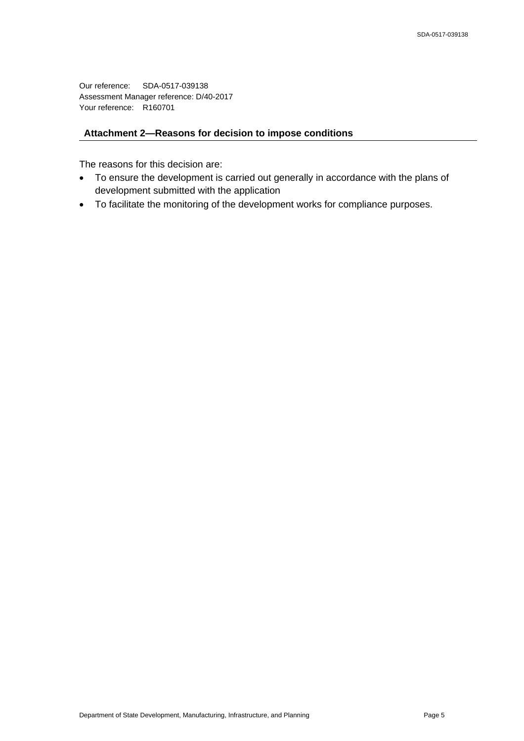# **Attachment 2—Reasons for decision to impose conditions**

The reasons for this decision are:

- To ensure the development is carried out generally in accordance with the plans of development submitted with the application
- To facilitate the monitoring of the development works for compliance purposes.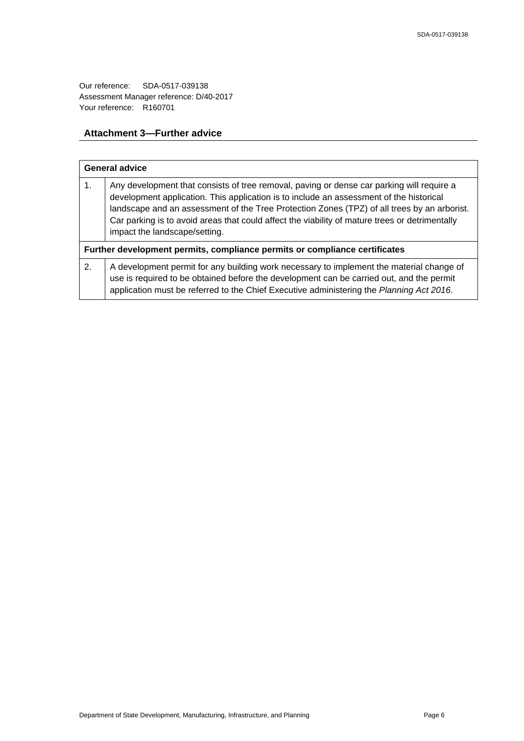# **Attachment 3—Further advice**

| <b>General advice</b>                                                      |                                                                                                                                                                                                                                                                                                                                                                                                                        |  |
|----------------------------------------------------------------------------|------------------------------------------------------------------------------------------------------------------------------------------------------------------------------------------------------------------------------------------------------------------------------------------------------------------------------------------------------------------------------------------------------------------------|--|
| 1.                                                                         | Any development that consists of tree removal, paving or dense car parking will require a<br>development application. This application is to include an assessment of the historical<br>landscape and an assessment of the Tree Protection Zones (TPZ) of all trees by an arborist.<br>Car parking is to avoid areas that could affect the viability of mature trees or detrimentally<br>impact the landscape/setting. |  |
| Further development permits, compliance permits or compliance certificates |                                                                                                                                                                                                                                                                                                                                                                                                                        |  |
| 2.                                                                         | A development permit for any building work necessary to implement the material change of<br>use is required to be obtained before the development can be carried out, and the permit<br>application must be referred to the Chief Executive administering the Planning Act 2016.                                                                                                                                       |  |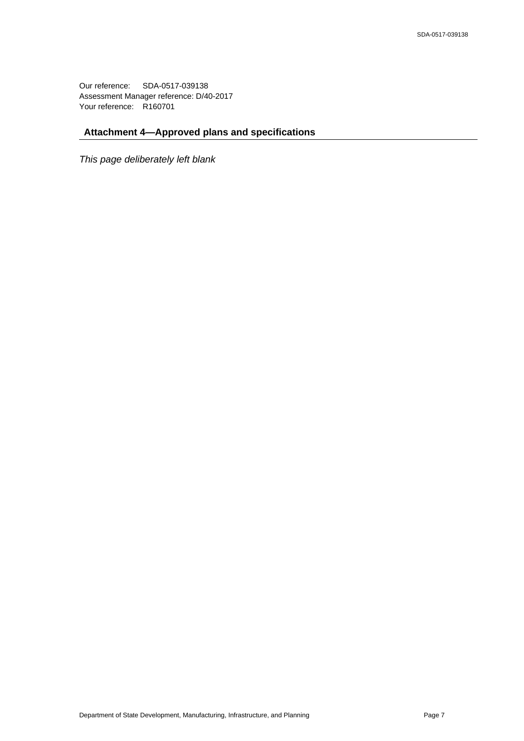# **Attachment 4—Approved plans and specifications**

*This page deliberately left blank*